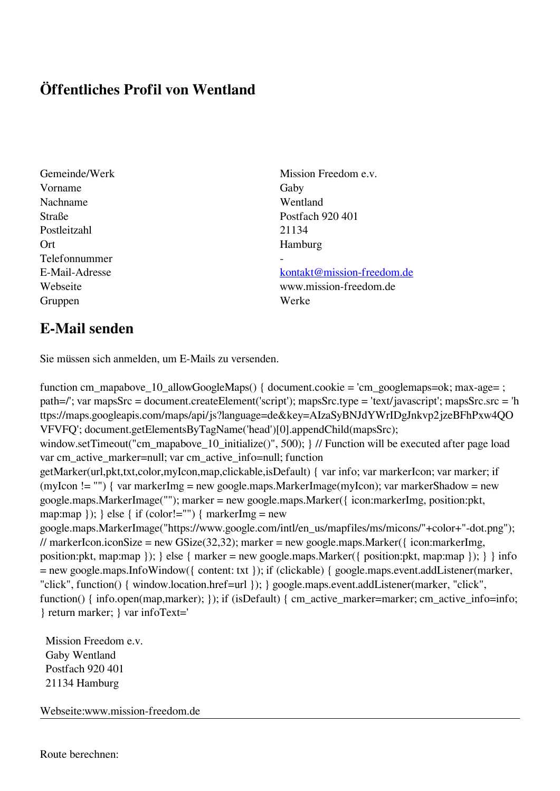## **Öffentliches Profil von Wentland**

- Vorname Gaby Nachname Wentland Straße Postfach 920 401 Postleitzahl 21134 Ort Hamburg Telefonnummer - Gruppen Werke
- Gemeinde/Werk Mission Freedom e.v.

E-Mail-Adresse [kontakt@mission-freedom.de](mailto:kontakt@mission-freedom.de) Webseite www.mission-freedom.de

## **E-Mail senden**

Sie müssen sich anmelden, um E-Mails zu versenden.

function cm\_mapabove\_10\_allowGoogleMaps() { document.cookie = 'cm\_googlemaps=ok; max-age= ; path=/'; var mapsSrc = document.createElement('script'); mapsSrc.type = 'text/javascript'; mapsSrc.src = 'h ttps://maps.googleapis.com/maps/api/js?language=de&key=AIzaSyBNJdYWrIDgJnkvp2jzeBFhPxw4QO VFVFQ'; document.getElementsByTagName('head')[0].appendChild(mapsSrc); window.setTimeout("cm\_mapabove\_10\_initialize()", 500); } // Function will be executed after page load var cm\_active\_marker=null; var cm\_active\_info=null; function getMarker(url,pkt,txt,color,myIcon,map,clickable,isDefault) { var info; var markerIcon; var marker; if (myIcon != "") { var markerImg = new google.maps.MarkerImage(myIcon); var markerShadow = new google.maps.MarkerImage(""); marker = new google.maps.Marker({ icon:markerImg, position:pkt, map:map  $\}$ ;  $\}$  else  $\{$  if (color!="")  $\{$  markerImg = new google.maps.MarkerImage("https://www.google.com/intl/en\_us/mapfiles/ms/micons/"+color+"-dot.png"); // markerIcon.iconSize = new GSize(32,32); marker = new google.maps.Marker({ $i$ con:markerImg, position:pkt, map:map }); } else { marker = new google.maps.Marker({ position:pkt, map:map }); } } info = new google.maps.InfoWindow({ content: txt }); if (clickable) { google.maps.event.addListener(marker, "click", function() { window.location.href=url }); } google.maps.event.addListener(marker, "click", function() { info.open(map,marker); }); if (isDefault) { cm\_active\_marker=marker; cm\_active\_info=info; } return marker; } var infoText='

 Mission Freedom e.v. Gaby Wentland Postfach 920 401 21134 Hamburg

Webseite:www.mission-freedom.de